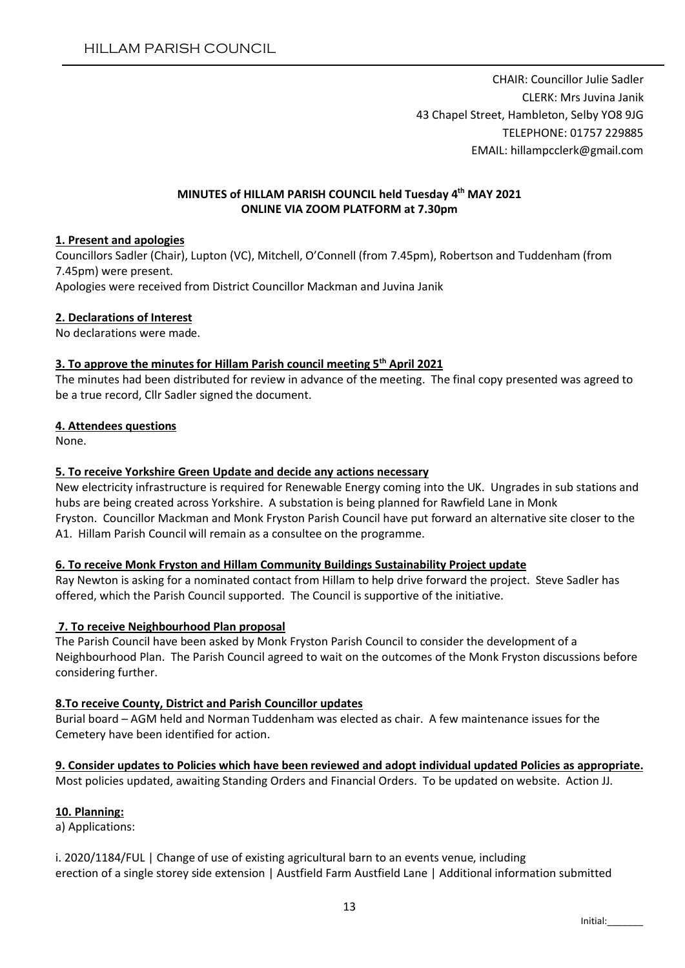CHAIR: Councillor Julie Sadler CLERK: Mrs Juvina Janik 43 Chapel Street, Hambleton, Selby YO8 9JG TELEPHONE: 01757 229885 EMAIL: hillampcclerk@gmail.com

### MINUTES of HILLAM PARISH COUNCIL held Tuesday 4th MAY 2021 ONLINE VIA ZOOM PLATFORM at 7.30pm

### 1. Present and apologies

Councillors Sadler (Chair), Lupton (VC), Mitchell, O'Connell (from 7.45pm), Robertson and Tuddenham (from 7.45pm) were present. Apologies were received from District Councillor Mackman and Juvina Janik

### 2. Declarations of Interest

No declarations were made.

### 3. To approve the minutes for Hillam Parish council meeting  $5<sup>th</sup>$  April 2021

The minutes had been distributed for review in advance of the meeting. The final copy presented was agreed to be a true record, Cllr Sadler signed the document.

### 4. Attendees questions

None.

## 5. To receive Yorkshire Green Update and decide any actions necessary

New electricity infrastructure is required for Renewable Energy coming into the UK. Ungrades in sub stations and hubs are being created across Yorkshire. A substation is being planned for Rawfield Lane in Monk Fryston. Councillor Mackman and Monk Fryston Parish Council have put forward an alternative site closer to the A1. Hillam Parish Council will remain as a consultee on the programme.

#### 6. To receive Monk Fryston and Hillam Community Buildings Sustainability Project update

Ray Newton is asking for a nominated contact from Hillam to help drive forward the project. Steve Sadler has offered, which the Parish Council supported. The Council is supportive of the initiative.

## 7. To receive Neighbourhood Plan proposal

The Parish Council have been asked by Monk Fryston Parish Council to consider the development of a Neighbourhood Plan. The Parish Council agreed to wait on the outcomes of the Monk Fryston discussions before considering further.

## 8.To receive County, District and Parish Councillor updates

Burial board – AGM held and Norman Tuddenham was elected as chair. A few maintenance issues for the Cemetery have been identified for action.

## 9. Consider updates to Policies which have been reviewed and adopt individual updated Policies as appropriate.

Most policies updated, awaiting Standing Orders and Financial Orders. To be updated on website. Action JJ.

## 10. Planning:

a) Applications:

i. 2020/1184/FUL | Change of use of existing agricultural barn to an events venue, including erection of a single storey side extension | Austfield Farm Austfield Lane | Additional information submitted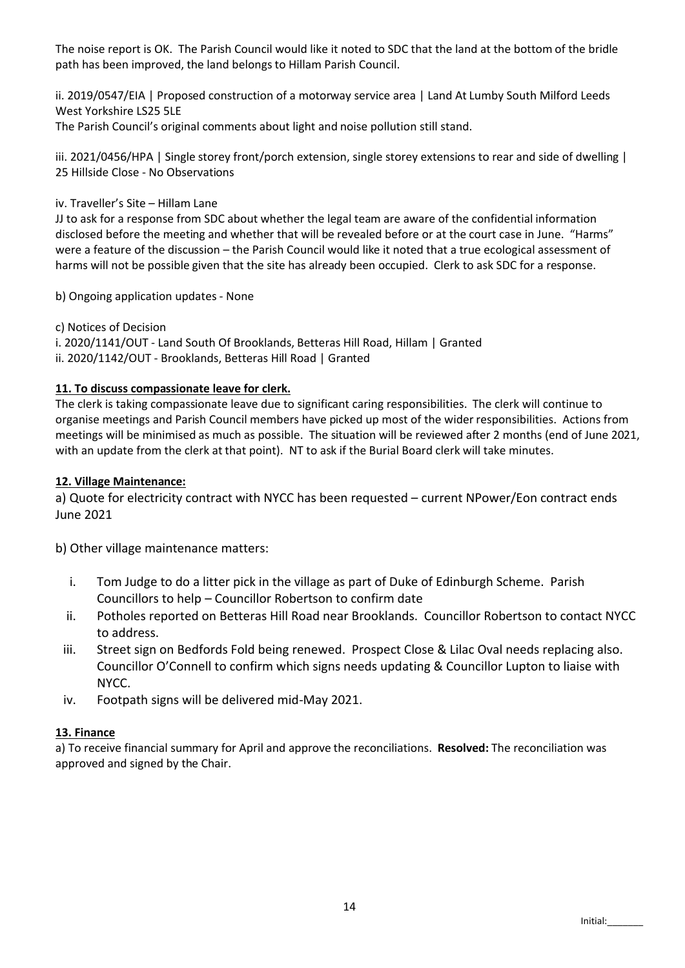The noise report is OK. The Parish Council would like it noted to SDC that the land at the bottom of the bridle path has been improved, the land belongs to Hillam Parish Council.

ii. 2019/0547/EIA | Proposed construction of a motorway service area | Land At Lumby South Milford Leeds West Yorkshire LS25 5LE

The Parish Council's original comments about light and noise pollution still stand.

iii. 2021/0456/HPA | Single storey front/porch extension, single storey extensions to rear and side of dwelling | 25 Hillside Close - No Observations

iv. Traveller's Site – Hillam Lane

JJ to ask for a response from SDC about whether the legal team are aware of the confidential information disclosed before the meeting and whether that will be revealed before or at the court case in June. "Harms" were a feature of the discussion – the Parish Council would like it noted that a true ecological assessment of harms will not be possible given that the site has already been occupied. Clerk to ask SDC for a response.

b) Ongoing application updates - None

c) Notices of Decision i. 2020/1141/OUT - Land South Of Brooklands, Betteras Hill Road, Hillam | Granted ii. 2020/1142/OUT - Brooklands, Betteras Hill Road | Granted

# 11. To discuss compassionate leave for clerk.

The clerk is taking compassionate leave due to significant caring responsibilities. The clerk will continue to organise meetings and Parish Council members have picked up most of the wider responsibilities. Actions from meetings will be minimised as much as possible. The situation will be reviewed after 2 months (end of June 2021, with an update from the clerk at that point). NT to ask if the Burial Board clerk will take minutes.

# 12. Village Maintenance:

a) Quote for electricity contract with NYCC has been requested – current NPower/Eon contract ends June 2021

b) Other village maintenance matters:

- i. Tom Judge to do a litter pick in the village as part of Duke of Edinburgh Scheme. Parish Councillors to help – Councillor Robertson to confirm date
- ii. Potholes reported on Betteras Hill Road near Brooklands. Councillor Robertson to contact NYCC to address.
- iii. Street sign on Bedfords Fold being renewed. Prospect Close & Lilac Oval needs replacing also. Councillor O'Connell to confirm which signs needs updating & Councillor Lupton to liaise with NYCC.
- iv. Footpath signs will be delivered mid-May 2021.

## 13. Finance

a) To receive financial summary for April and approve the reconciliations. Resolved: The reconciliation was approved and signed by the Chair.